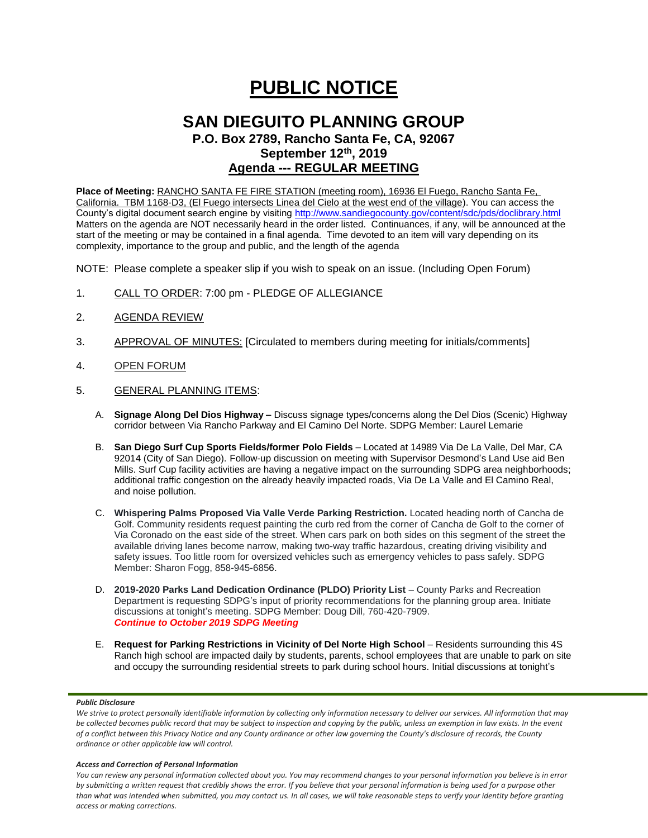# **PUBLIC NOTICE**

# **SAN DIEGUITO PLANNING GROUP**

**P.O. Box 2789, Rancho Santa Fe, CA, 92067 September 12th, 2019 Agenda --- REGULAR MEETING**

**Place of Meeting:** RANCHO SANTA FE FIRE STATION (meeting room), 16936 El Fuego, Rancho Santa Fe, California. TBM 1168-D3, (El Fuego intersects Linea del Cielo at the west end of the village). You can access the County's digital document search engine by visitin[g http://www.sandiegocounty.gov/content/sdc/pds/doclibrary.html](http://www.sandiegocounty.gov/content/sdc/pds/doclibrary.html) Matters on the agenda are NOT necessarily heard in the order listed. Continuances, if any, will be announced at the start of the meeting or may be contained in a final agenda. Time devoted to an item will vary depending on its complexity, importance to the group and public, and the length of the agenda

NOTE: Please complete a speaker slip if you wish to speak on an issue. (Including Open Forum)

- 1. CALL TO ORDER: 7:00 pm PLEDGE OF ALLEGIANCE
- 2. AGENDA REVIEW
- 3. APPROVAL OF MINUTES: [Circulated to members during meeting for initials/comments]
- 4. OPEN FORUM
- 5. GENERAL PLANNING ITEMS:
	- A. **Signage Along Del Dios Highway –** Discuss signage types/concerns along the Del Dios (Scenic) Highway corridor between Via Rancho Parkway and El Camino Del Norte. SDPG Member: Laurel Lemarie
	- B. **San Diego Surf Cup Sports Fields/former Polo Fields** Located at 14989 Via De La Valle, Del Mar, CA 92014 (City of San Diego). Follow-up discussion on meeting with Supervisor Desmond's Land Use aid Ben Mills. Surf Cup facility activities are having a negative impact on the surrounding SDPG area neighborhoods; additional traffic congestion on the already heavily impacted roads, Via De La Valle and El Camino Real, and noise pollution.
	- C. **Whispering Palms Proposed Via Valle Verde Parking Restriction.** Located heading north of Cancha de Golf. Community residents request painting the curb red from the corner of Cancha de Golf to the corner of Via Coronado on the east side of the street. When cars park on both sides on this segment of the street the available driving lanes become narrow, making two-way traffic hazardous, creating driving visibility and safety issues. Too little room for oversized vehicles such as emergency vehicles to pass safely. SDPG Member: Sharon Fogg, 858-945-6856.
	- D. **2019-2020 Parks Land Dedication Ordinance (PLDO) Priority List** County Parks and Recreation Department is requesting SDPG's input of priority recommendations for the planning group area. Initiate discussions at tonight's meeting. SDPG Member: Doug Dill, 760-420-7909. *Continue to October 2019 SDPG Meeting*
	- E. **Request for Parking Restrictions in Vicinity of Del Norte High School** Residents surrounding this 4S Ranch high school are impacted daily by students, parents, school employees that are unable to park on site and occupy the surrounding residential streets to park during school hours. Initial discussions at tonight's

### *Public Disclosure*

#### *Access and Correction of Personal Information*

*You can review any personal information collected about you. You may recommend changes to your personal information you believe is in error by submitting a written request that credibly shows the error. If you believe that your personal information is being used for a purpose other than what was intended when submitted, you may contact us. In all cases, we will take reasonable steps to verify your identity before granting access or making corrections.*

We strive to protect personally identifiable information by collecting only information necessary to deliver our services. All information that may *be collected becomes public record that may be subject to inspection and copying by the public, unless an exemption in law exists. In the event of a conflict between this Privacy Notice and any County ordinance or other law governing the County's disclosure of records, the County ordinance or other applicable law will control.*